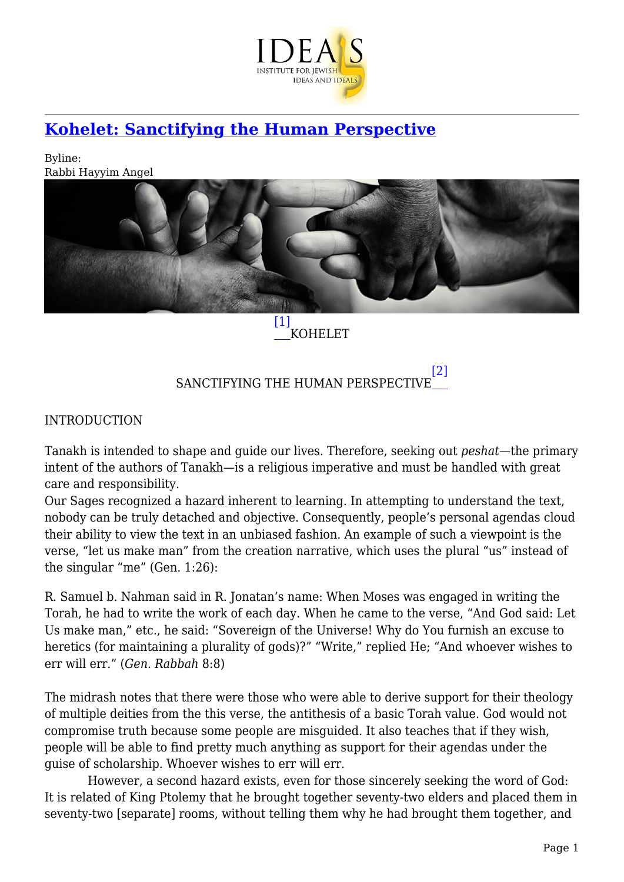

# **[Kohelet: Sanctifying the Human Perspective](https://www.jewishideas.org/article/kohelet-sanctifying-human-perspective)**

Byline: Rabbi Hayyim Angel



KOHELET

SANCTIFYING THE HUMAN PERSPECTIVE [\[2\]](#page--1-0)

INTRODUCTION

Tanakh is intended to shape and guide our lives. Therefore, seeking out *peshat*—the primary intent of the authors of Tanakh—is a religious imperative and must be handled with great care and responsibility.

Our Sages recognized a hazard inherent to learning. In attempting to understand the text, nobody can be truly detached and objective. Consequently, people's personal agendas cloud their ability to view the text in an unbiased fashion. An example of such a viewpoint is the verse, "let us make man" from the creation narrative, which uses the plural "us" instead of the singular "me" (Gen. 1:26):

R. Samuel b. Nahman said in R. Jonatan's name: When Moses was engaged in writing the Torah, he had to write the work of each day. When he came to the verse, "And God said: Let Us make man," etc., he said: "Sovereign of the Universe! Why do You furnish an excuse to heretics (for maintaining a plurality of gods)?" "Write," replied He; "And whoever wishes to err will err." (*Gen. Rabbah* 8:8)

The midrash notes that there were those who were able to derive support for their theology of multiple deities from the this verse, the antithesis of a basic Torah value. God would not compromise truth because some people are misguided. It also teaches that if they wish, people will be able to find pretty much anything as support for their agendas under the guise of scholarship. Whoever wishes to err will err.

 However, a second hazard exists, even for those sincerely seeking the word of God: It is related of King Ptolemy that he brought together seventy-two elders and placed them in seventy-two [separate] rooms, without telling them why he had brought them together, and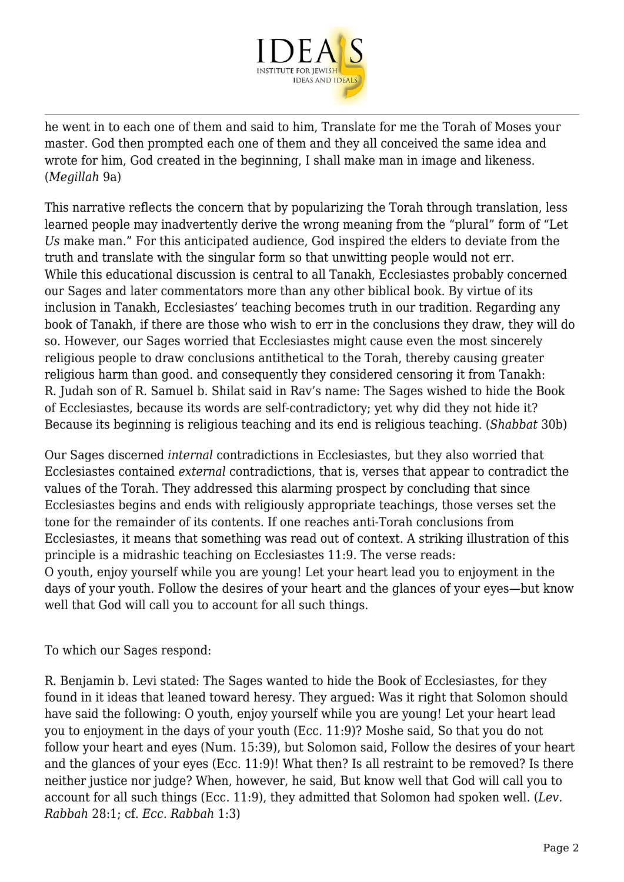

he went in to each one of them and said to him, Translate for me the Torah of Moses your master. God then prompted each one of them and they all conceived the same idea and wrote for him, God created in the beginning, I shall make man in image and likeness. (*Megillah* 9a)

This narrative reflects the concern that by popularizing the Torah through translation, less learned people may inadvertently derive the wrong meaning from the "plural" form of "Let *Us* make man." For this anticipated audience, God inspired the elders to deviate from the truth and translate with the singular form so that unwitting people would not err. While this educational discussion is central to all Tanakh, Ecclesiastes probably concerned our Sages and later commentators more than any other biblical book. By virtue of its inclusion in Tanakh, Ecclesiastes' teaching becomes truth in our tradition. Regarding any book of Tanakh, if there are those who wish to err in the conclusions they draw, they will do so. However, our Sages worried that Ecclesiastes might cause even the most sincerely religious people to draw conclusions antithetical to the Torah, thereby causing greater religious harm than good. and consequently they considered censoring it from Tanakh: R. Judah son of R. Samuel b. Shilat said in Rav's name: The Sages wished to hide the Book of Ecclesiastes, because its words are self-contradictory; yet why did they not hide it? Because its beginning is religious teaching and its end is religious teaching. (*Shabbat* 30b)

Our Sages discerned *internal* contradictions in Ecclesiastes, but they also worried that Ecclesiastes contained *external* contradictions, that is, verses that appear to contradict the values of the Torah. They addressed this alarming prospect by concluding that since Ecclesiastes begins and ends with religiously appropriate teachings, those verses set the tone for the remainder of its contents. If one reaches anti-Torah conclusions from Ecclesiastes, it means that something was read out of context. A striking illustration of this principle is a midrashic teaching on Ecclesiastes 11:9. The verse reads: O youth, enjoy yourself while you are young! Let your heart lead you to enjoyment in the days of your youth. Follow the desires of your heart and the glances of your eyes—but know well that God will call you to account for all such things.

#### To which our Sages respond:

R. Benjamin b. Levi stated: The Sages wanted to hide the Book of Ecclesiastes, for they found in it ideas that leaned toward heresy. They argued: Was it right that Solomon should have said the following: O youth, enjoy yourself while you are young! Let your heart lead you to enjoyment in the days of your youth (Ecc. 11:9)? Moshe said, So that you do not follow your heart and eyes (Num. 15:39), but Solomon said, Follow the desires of your heart and the glances of your eyes (Ecc. 11:9)! What then? Is all restraint to be removed? Is there neither justice nor judge? When, however, he said, But know well that God will call you to account for all such things (Ecc. 11:9), they admitted that Solomon had spoken well. (*Lev. Rabbah* 28:1; cf. *Ecc. Rabbah* 1:3)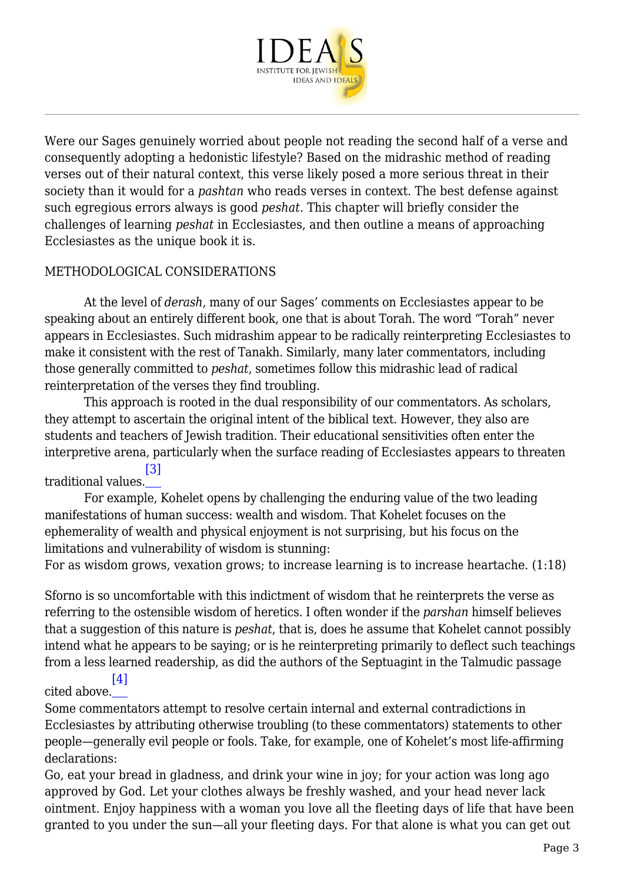

Were our Sages genuinely worried about people not reading the second half of a verse and consequently adopting a hedonistic lifestyle? Based on the midrashic method of reading verses out of their natural context, this verse likely posed a more serious threat in their society than it would for a *pashtan* who reads verses in context. The best defense against such egregious errors always is good *peshat*. This chapter will briefly consider the challenges of learning *peshat* in Ecclesiastes, and then outline a means of approaching Ecclesiastes as the unique book it is.

#### METHODOLOGICAL CONSIDERATIONS

 At the level of *derash*, many of our Sages' comments on Ecclesiastes appear to be speaking about an entirely different book, one that is about Torah. The word "Torah" never appears in Ecclesiastes. Such midrashim appear to be radically reinterpreting Ecclesiastes to make it consistent with the rest of Tanakh. Similarly, many later commentators, including those generally committed to *peshat*, sometimes follow this midrashic lead of radical reinterpretation of the verses they find troubling.

 This approach is rooted in the dual responsibility of our commentators. As scholars, they attempt to ascertain the original intent of the biblical text. However, they also are students and teachers of Jewish tradition. Their educational sensitivities often enter the interpretive arena, particularly when the surface reading of Ecclesiastes appears to threaten

traditional values. [\[3\]](#page--1-0)

 For example, Kohelet opens by challenging the enduring value of the two leading manifestations of human success: wealth and wisdom. That Kohelet focuses on the ephemerality of wealth and physical enjoyment is not surprising, but his focus on the limitations and vulnerability of wisdom is stunning:

For as wisdom grows, vexation grows; to increase learning is to increase heartache. (1:18)

Sforno is so uncomfortable with this indictment of wisdom that he reinterprets the verse as referring to the ostensible wisdom of heretics. I often wonder if the *parshan* himself believes that a suggestion of this nature is *peshat*, that is, does he assume that Kohelet cannot possibly intend what he appears to be saying; or is he reinterpreting primarily to deflect such teachings from a less learned readership, as did the authors of the Septuagint in the Talmudic passage

#### cited above. [\[4\]](#page--1-0)

Some commentators attempt to resolve certain internal and external contradictions in Ecclesiastes by attributing otherwise troubling (to these commentators) statements to other people—generally evil people or fools. Take, for example, one of Kohelet's most life-affirming declarations:

Go, eat your bread in gladness, and drink your wine in joy; for your action was long ago approved by God. Let your clothes always be freshly washed, and your head never lack ointment. Enjoy happiness with a woman you love all the fleeting days of life that have been granted to you under the sun—all your fleeting days. For that alone is what you can get out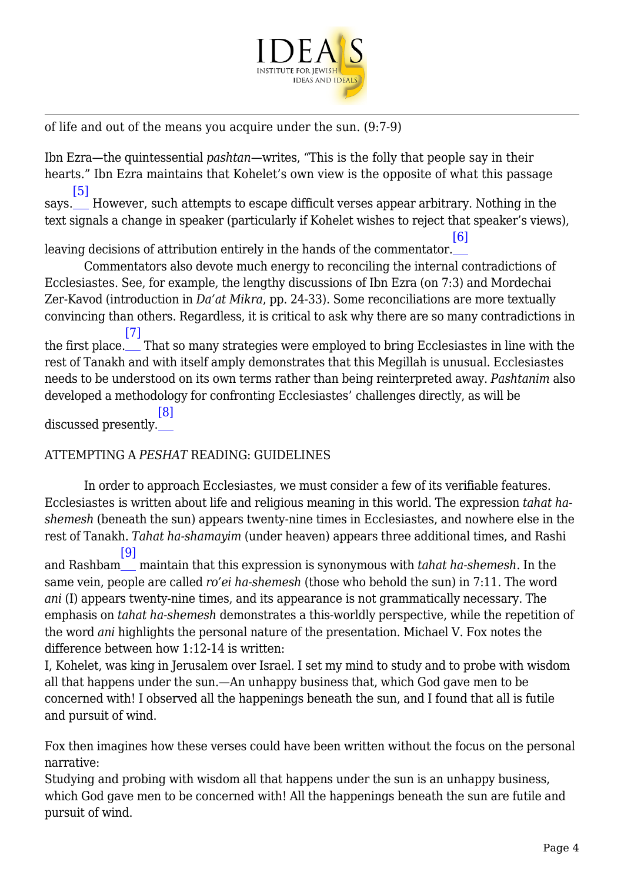

of life and out of the means you acquire under the sun. (9:7-9)

Ibn Ezra—the quintessential *pashtan*—writes, "This is the folly that people say in their hearts." Ibn Ezra maintains that Kohelet's own view is the opposite of what this passage [\[5\]](#page--1-0)

says. However, such attempts to escape difficult verses appear arbitrary. Nothing in the text signals a change in speaker (particularly if Kohelet wishes to reject that speaker's views),

leaving decisions of attribution entirely in the hands of the commentator. [\[6\]](#page--1-0)

 Commentators also devote much energy to reconciling the internal contradictions of Ecclesiastes. See, for example, the lengthy discussions of Ibn Ezra (on 7:3) and Mordechai Zer-Kavod (introduction in *Da'at Mikra*, pp. 24-33). Some reconciliations are more textually convincing than others. Regardless, it is critical to ask why there are so many contradictions in [\[7\]](#page--1-0)

the first place. That so many strategies were employed to bring Ecclesiastes in line with the rest of Tanakh and with itself amply demonstrates that this Megillah is unusual. Ecclesiastes needs to be understood on its own terms rather than being reinterpreted away. *Pashtanim* also developed a methodology for confronting Ecclesiastes' challenges directly, as will be

discussed presently. [\[8\]](#page--1-0)

#### ATTEMPTING A *PESHAT* READING: GUIDELINES

 In order to approach Ecclesiastes, we must consider a few of its verifiable features. Ecclesiastes is written about life and religious meaning in this world. The expression *tahat hashemesh* (beneath the sun) appears twenty-nine times in Ecclesiastes, and nowhere else in the rest of Tanakh. *Tahat ha‑shamayim* (under heaven) appears three additional times, and Rashi [\[9\]](#page--1-0)

and Rashbam maintain that this expression is synonymous with *tahat ha‑shemesh*. In the same vein, people are called *ro'ei ha-shemesh* (those who behold the sun) in 7:11. The word *ani* (I) appears twenty-nine times, and its appearance is not grammatically necessary. The emphasis on *tahat ha-shemesh* demonstrates a this-worldly perspective, while the repetition of the word *ani* highlights the personal nature of the presentation. Michael V. Fox notes the difference between how 1:12-14 is written:

I, Kohelet, was king in Jerusalem over Israel. I set my mind to study and to probe with wisdom all that happens under the sun.—An unhappy business that, which God gave men to be concerned with! I observed all the happenings beneath the sun, and I found that all is futile and pursuit of wind.

Fox then imagines how these verses could have been written without the focus on the personal narrative:

Studying and probing with wisdom all that happens under the sun is an unhappy business, which God gave men to be concerned with! All the happenings beneath the sun are futile and pursuit of wind.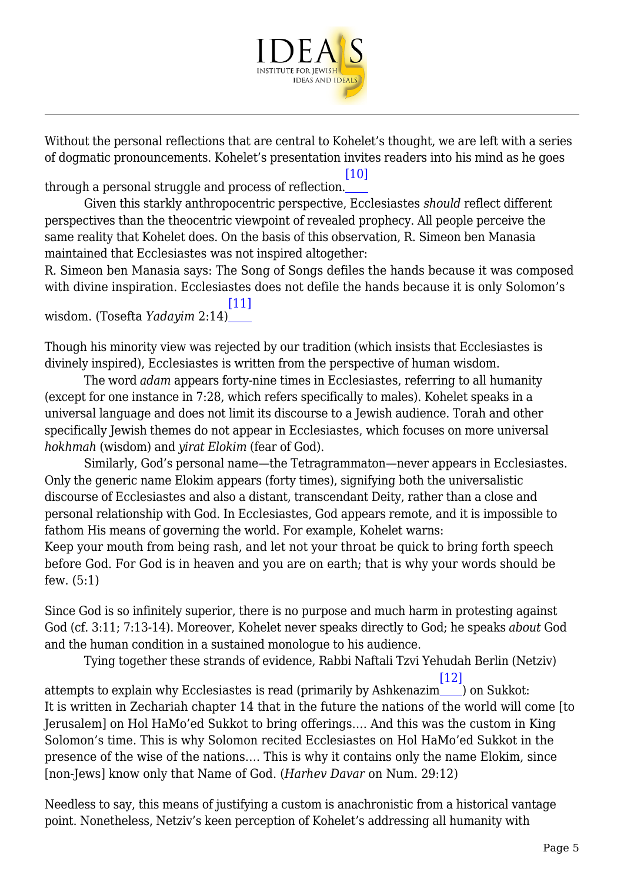

Without the personal reflections that are central to Kohelet's thought, we are left with a series of dogmatic pronouncements. Kohelet's presentation invites readers into his mind as he goes

[\[10\]](#page--1-0)

through a personal struggle and process of reflection.

 Given this starkly anthropocentric perspective, Ecclesiastes *should* reflect different perspectives than the theocentric viewpoint of revealed prophecy. All people perceive the same reality that Kohelet does. On the basis of this observation, R. Simeon ben Manasia maintained that Ecclesiastes was not inspired altogether:

R. Simeon ben Manasia says: The Song of Songs defiles the hands because it was composed with divine inspiration. Ecclesiastes does not defile the hands because it is only Solomon's

wisdom. (Tosefta *Yadayim* 2:14)  $[11]$ 

Though his minority view was rejected by our tradition (which insists that Ecclesiastes is divinely inspired), Ecclesiastes is written from the perspective of human wisdom.

 The word *adam* appears forty-nine times in Ecclesiastes, referring to all humanity (except for one instance in 7:28, which refers specifically to males). Kohelet speaks in a universal language and does not limit its discourse to a Jewish audience. Torah and other specifically Jewish themes do not appear in Ecclesiastes, which focuses on more universal *hokhmah* (wisdom) and *yirat Elokim* (fear of God).

 Similarly, God's personal name—the Tetragrammaton—never appears in Ecclesiastes. Only the generic name Elokim appears (forty times), signifying both the universalistic discourse of Ecclesiastes and also a distant, transcendant Deity, rather than a close and personal relationship with God. In Ecclesiastes, God appears remote, and it is impossible to fathom His means of governing the world. For example, Kohelet warns: Keep your mouth from being rash, and let not your throat be quick to bring forth speech before God. For God is in heaven and you are on earth; that is why your words should be few. (5:1)

Since God is so infinitely superior, there is no purpose and much harm in protesting against God (cf. 3:11; 7:13-14). Moreover, Kohelet never speaks directly to God; he speaks *about* God and the human condition in a sustained monologue to his audience.

 Tying together these strands of evidence, Rabbi Naftali Tzvi Yehudah Berlin (Netziv) attempts to explain why Ecclesiastes is read (primarily by Ashkenazim ) on Sukkot: [\[12\]](#page--1-0) It is written in Zechariah chapter 14 that in the future the nations of the world will come [to Jerusalem] on Hol HaMo'ed Sukkot to bring offerings…. And this was the custom in King Solomon's time. This is why Solomon recited Ecclesiastes on Hol HaMo'ed Sukkot in the presence of the wise of the nations…. This is why it contains only the name Elokim, since [non-Jews] know only that Name of God. (*Harhev Davar* on Num. 29:12)

Needless to say, this means of justifying a custom is anachronistic from a historical vantage point. Nonetheless, Netziv's keen perception of Kohelet's addressing all humanity with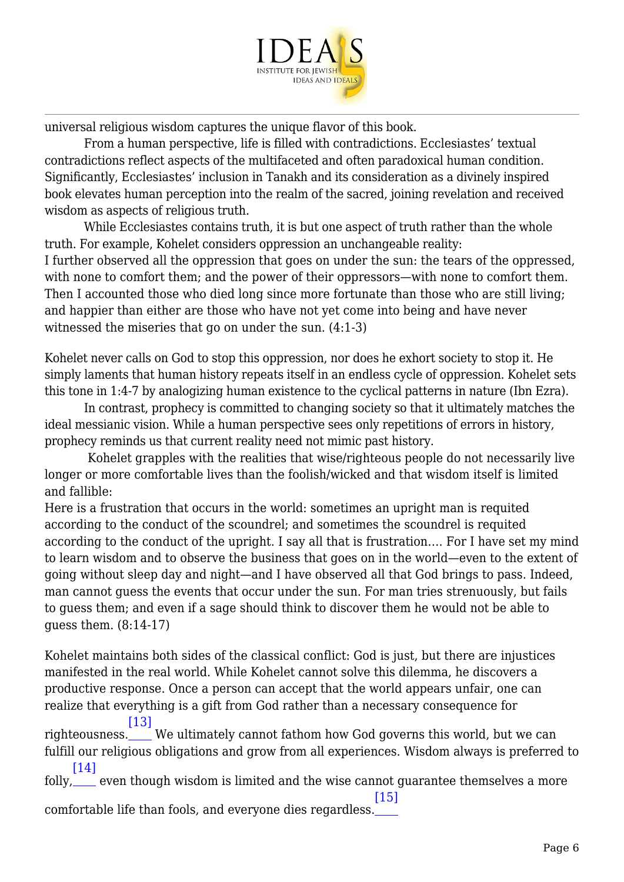

universal religious wisdom captures the unique flavor of this book.

 From a human perspective, life is filled with contradictions. Ecclesiastes' textual contradictions reflect aspects of the multifaceted and often paradoxical human condition. Significantly, Ecclesiastes' inclusion in Tanakh and its consideration as a divinely inspired book elevates human perception into the realm of the sacred, joining revelation and received wisdom as aspects of religious truth.

 While Ecclesiastes contains truth, it is but one aspect of truth rather than the whole truth. For example, Kohelet considers oppression an unchangeable reality: I further observed all the oppression that goes on under the sun: the tears of the oppressed, with none to comfort them; and the power of their oppressors—with none to comfort them. Then I accounted those who died long since more fortunate than those who are still living; and happier than either are those who have not yet come into being and have never witnessed the miseries that go on under the sun. (4:1-3)

Kohelet never calls on God to stop this oppression, nor does he exhort society to stop it. He simply laments that human history repeats itself in an endless cycle of oppression. Kohelet sets this tone in 1:4-7 by analogizing human existence to the cyclical patterns in nature (Ibn Ezra).

 In contrast, prophecy is committed to changing society so that it ultimately matches the ideal messianic vision. While a human perspective sees only repetitions of errors in history, prophecy reminds us that current reality need not mimic past history.

 Kohelet grapples with the realities that wise/righteous people do not necessarily live longer or more comfortable lives than the foolish/wicked and that wisdom itself is limited and fallible:

Here is a frustration that occurs in the world: sometimes an upright man is requited according to the conduct of the scoundrel; and sometimes the scoundrel is requited according to the conduct of the upright. I say all that is frustration…. For I have set my mind to learn wisdom and to observe the business that goes on in the world—even to the extent of going without sleep day and night—and I have observed all that God brings to pass. Indeed, man cannot guess the events that occur under the sun. For man tries strenuously, but fails to guess them; and even if a sage should think to discover them he would not be able to guess them. (8:14-17)

Kohelet maintains both sides of the classical conflict: God is just, but there are injustices manifested in the real world. While Kohelet cannot solve this dilemma, he discovers a productive response. Once a person can accept that the world appears unfair, one can realize that everything is a gift from God rather than a necessary consequence for [\[13\]](#page--1-0)

righteousness. We ultimately cannot fathom how God governs this world, but we can fulfill our religious obligations and grow from all experiences. Wisdom always is preferred to [\[14\]](#page--1-0)

folly, even though wisdom is limited and the wise cannot guarantee themselves a more  $[15]$ 

comfortable life than fools, and everyone dies regardless.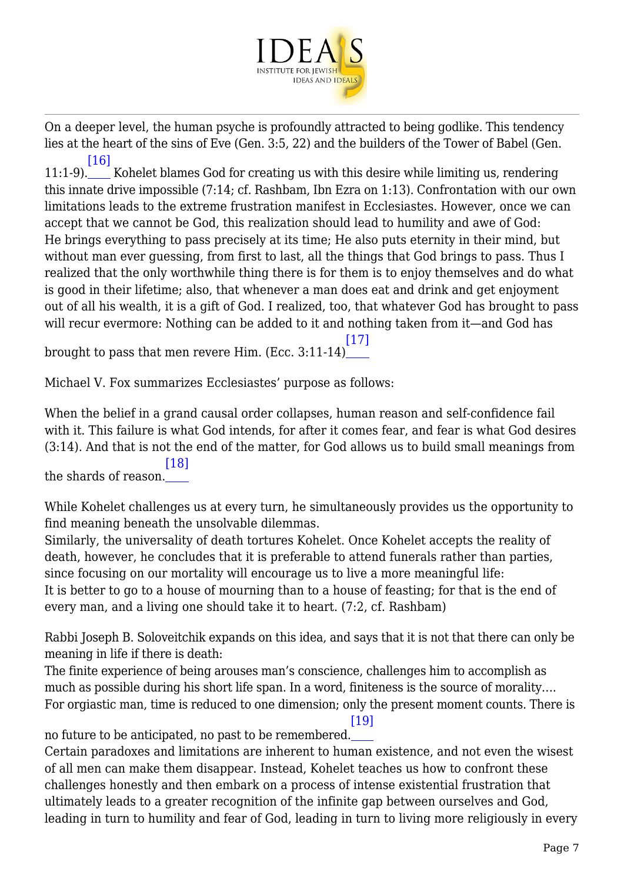

On a deeper level, the human psyche is profoundly attracted to being godlike. This tendency lies at the heart of the sins of Eve (Gen. 3:5, 22) and the builders of the Tower of Babel (Gen. [\[16\]](#page--1-0)

11:1-9). Kohelet blames God for creating us with this desire while limiting us, rendering this innate drive impossible (7:14; cf. Rashbam, Ibn Ezra on 1:13). Confrontation with our own limitations leads to the extreme frustration manifest in Ecclesiastes. However, once we can accept that we cannot be God, this realization should lead to humility and awe of God: He brings everything to pass precisely at its time; He also puts eternity in their mind, but without man ever guessing, from first to last, all the things that God brings to pass. Thus I realized that the only worthwhile thing there is for them is to enjoy themselves and do what is good in their lifetime; also, that whenever a man does eat and drink and get enjoyment out of all his wealth, it is a gift of God. I realized, too, that whatever God has brought to pass will recur evermore: Nothing can be added to it and nothing taken from it—and God has

brought to pass that men revere Him. (Ecc. 3:11-14)  $[17]$ 

Michael V. Fox summarizes Ecclesiastes' purpose as follows:

When the belief in a grand causal order collapses, human reason and self-confidence fail with it. This failure is what God intends, for after it comes fear, and fear is what God desires (3:14). And that is not the end of the matter, for God allows us to build small meanings from the shards of reason. [\[18\]](#page--1-0)

While Kohelet challenges us at every turn, he simultaneously provides us the opportunity to find meaning beneath the unsolvable dilemmas.

Similarly, the universality of death tortures Kohelet. Once Kohelet accepts the reality of death, however, he concludes that it is preferable to attend funerals rather than parties, since focusing on our mortality will encourage us to live a more meaningful life: It is better to go to a house of mourning than to a house of feasting; for that is the end of every man, and a living one should take it to heart. (7:2, cf. Rashbam)

Rabbi Joseph B. Soloveitchik expands on this idea, and says that it is not that there can only be meaning in life if there is death:

The finite experience of being arouses man's conscience, challenges him to accomplish as much as possible during his short life span. In a word, finiteness is the source of morality…. For orgiastic man, time is reduced to one dimension; only the present moment counts. There is

no future to be anticipated, no past to be remembered. [\[19\]](#page--1-0)

Certain paradoxes and limitations are inherent to human existence, and not even the wisest of all men can make them disappear. Instead, Kohelet teaches us how to confront these challenges honestly and then embark on a process of intense existential frustration that ultimately leads to a greater recognition of the infinite gap between ourselves and God, leading in turn to humility and fear of God, leading in turn to living more religiously in every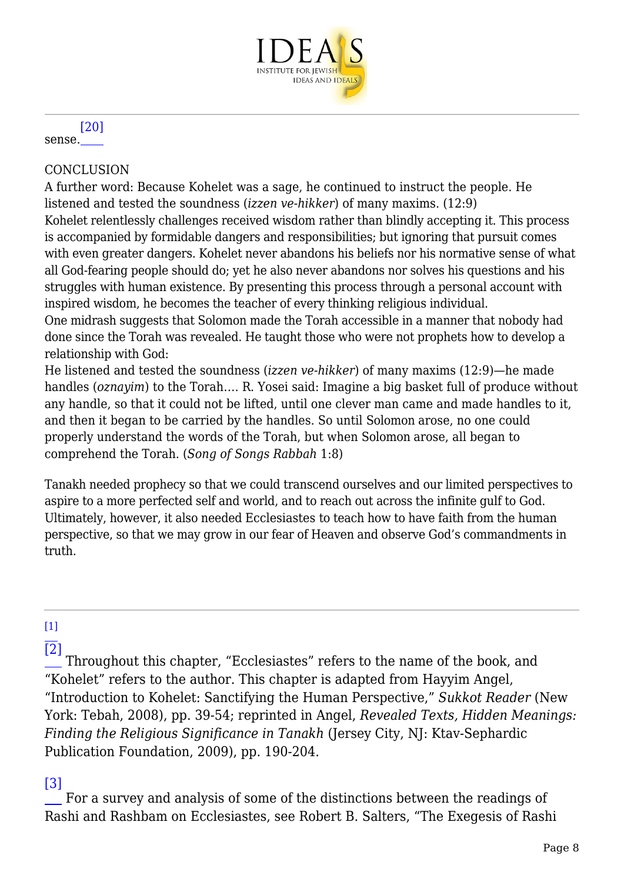

#### sense. [\[20\]](#page--1-0)

#### **CONCLUSION**

A further word: Because Kohelet was a sage, he continued to instruct the people. He listened and tested the soundness (*izzen ve-hikker*) of many maxims. (12:9) Kohelet relentlessly challenges received wisdom rather than blindly accepting it. This process is accompanied by formidable dangers and responsibilities; but ignoring that pursuit comes with even greater dangers. Kohelet never abandons his beliefs nor his normative sense of what all God-fearing people should do; yet he also never abandons nor solves his questions and his struggles with human existence. By presenting this process through a personal account with inspired wisdom, he becomes the teacher of every thinking religious individual.

One midrash suggests that Solomon made the Torah accessible in a manner that nobody had done since the Torah was revealed. He taught those who were not prophets how to develop a relationship with God:

He listened and tested the soundness (*izzen ve-hikker*) of many maxims (12:9)—he made handles (*oznayim*) to the Torah…. R. Yosei said: Imagine a big basket full of produce without any handle, so that it could not be lifted, until one clever man came and made handles to it, and then it began to be carried by the handles. So until Solomon arose, no one could properly understand the words of the Torah, but when Solomon arose, all began to comprehend the Torah. (*Song of Songs Rabbah* 1:8)

Tanakh needed prophecy so that we could transcend ourselves and our limited perspectives to aspire to a more perfected self and world, and to reach out across the infinite gulf to God. Ultimately, however, it also needed Ecclesiastes to teach how to have faith from the human perspective, so that we may grow in our fear of Heaven and observe God's commandments in truth.

#### $[1]$

 $\overline{[2]}$  $\overline{[2]}$  $\overline{[2]}$  Throughout this chapter, "Ecclesiastes" refers to the name of the book, and "Kohelet" refers to the author. This chapter is adapted from Hayyim Angel, "Introduction to Kohelet: Sanctifying the Human Perspective," *Sukkot Reader* (New York: Tebah, 2008), pp. 39-54; reprinted in Angel, *Revealed Texts, Hidden Meanings: Finding the Religious Significance in Tanakh* (Jersey City, NJ: Ktav-Sephardic Publication Foundation, 2009), pp. 190-204.

## [\[3\]](#page--1-0)

 For a survey and analysis of some of the distinctions between the readings of Rashi and Rashbam on Ecclesiastes, see Robert B. Salters, "The Exegesis of Rashi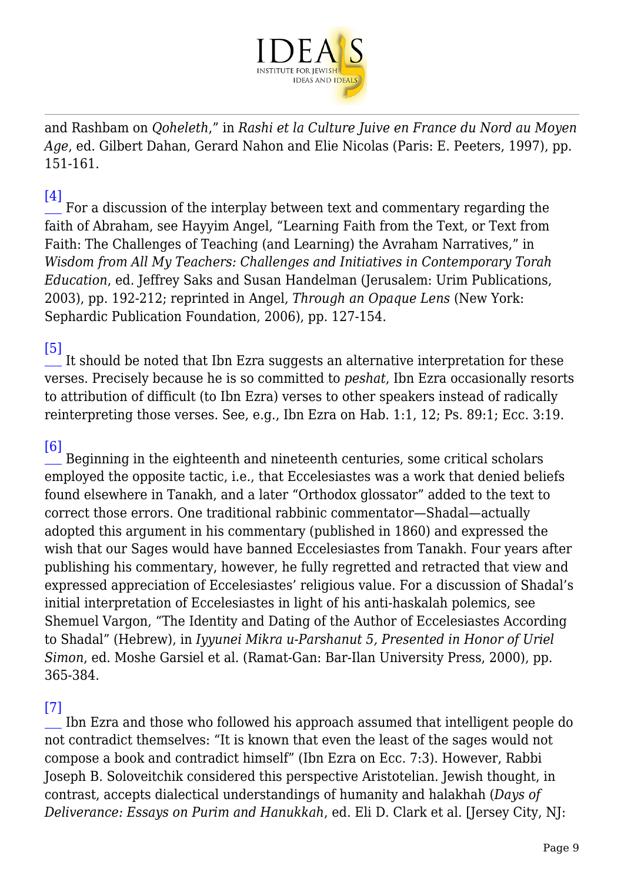

and Rashbam on *Qoheleth*," in *Rashi et la Culture Juive en France du Nord au Moyen Age*, ed. Gilbert Dahan, Gerard Nahon and Elie Nicolas (Paris: E. Peeters, 1997), pp. 151-161.

## $[4]$

 For a discussion of the interplay between text and commentary regarding the faith of Abraham, see Hayyim Angel, "Learning Faith from the Text, or Text from Faith: The Challenges of Teaching (and Learning) the Avraham Narratives," in *Wisdom from All My Teachers: Challenges and Initiatives in Contemporary Torah Education*, ed. Jeffrey Saks and Susan Handelman (Jerusalem: Urim Publications, 2003), pp. 192-212; reprinted in Angel, *Through an Opaque Lens* (New York: Sephardic Publication Foundation, 2006), pp. 127-154.

#### [\[5\]](#page--1-0)

 It should be noted that Ibn Ezra suggests an alternative interpretation for these verses. Precisely because he is so committed to *peshat*, Ibn Ezra occasionally resorts to attribution of difficult (to Ibn Ezra) verses to other speakers instead of radically reinterpreting those verses. See, e.g., Ibn Ezra on Hab. 1:1, 12; Ps. 89:1; Ecc. 3:19.

#### [\[6\]](#page--1-0)

 Beginning in the eighteenth and nineteenth centuries, some critical scholars employed the opposite tactic, i.e., that Eccelesiastes was a work that denied beliefs found elsewhere in Tanakh, and a later "Orthodox glossator" added to the text to correct those errors. One traditional rabbinic commentator—Shadal—actually adopted this argument in his commentary (published in 1860) and expressed the wish that our Sages would have banned Eccelesiastes from Tanakh. Four years after publishing his commentary, however, he fully regretted and retracted that view and expressed appreciation of Eccelesiastes' religious value. For a discussion of Shadal's initial interpretation of Eccelesiastes in light of his anti-haskalah polemics, see Shemuel Vargon, "The Identity and Dating of the Author of Eccelesiastes According to Shadal" (Hebrew), in *Iyyunei Mikra u‑Parshanut 5, Presented in Honor of Uriel Simon*, ed. Moshe Garsiel et al. (Ramat-Gan: Bar-Ilan University Press, 2000), pp. 365-384.

#### [\[7\]](#page--1-0)

 Ibn Ezra and those who followed his approach assumed that intelligent people do not contradict themselves: "It is known that even the least of the sages would not compose a book and contradict himself" (Ibn Ezra on Ecc. 7:3). However, Rabbi Joseph B. Soloveitchik considered this perspective Aristotelian. Jewish thought, in contrast, accepts dialectical understandings of humanity and halakhah (*Days of Deliverance: Essays on Purim and Hanukkah*, ed. Eli D. Clark et al. [Jersey City, NJ: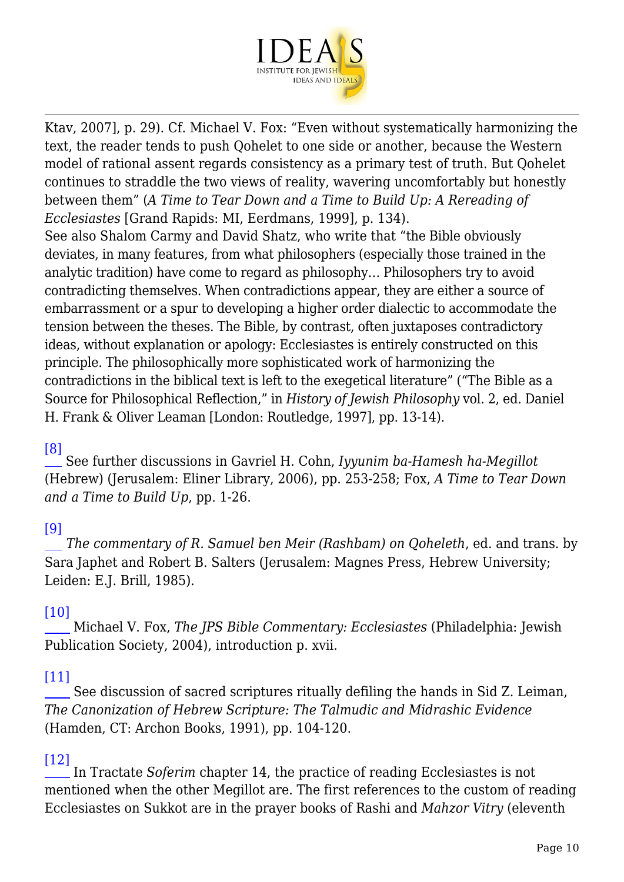

Ktav, 2007], p. 29). Cf. Michael V. Fox: "Even without systematically harmonizing the text, the reader tends to push Qohelet to one side or another, because the Western model of rational assent regards consistency as a primary test of truth. But Qohelet continues to straddle the two views of reality, wavering uncomfortably but honestly between them" (*A Time to Tear Down and a Time to Build Up: A Rereading of Ecclesiastes* [Grand Rapids: MI, Eerdmans, 1999], p. 134).

See also Shalom Carmy and David Shatz, who write that "the Bible obviously deviates, in many features, from what philosophers (especially those trained in the analytic tradition) have come to regard as philosophy… Philosophers try to avoid contradicting themselves. When contradictions appear, they are either a source of embarrassment or a spur to developing a higher order dialectic to accommodate the tension between the theses. The Bible, by contrast, often juxtaposes contradictory ideas, without explanation or apology: Ecclesiastes is entirely constructed on this principle. The philosophically more sophisticated work of harmonizing the contradictions in the biblical text is left to the exegetical literature" ("The Bible as a Source for Philosophical Reflection," in *History of Jewish Philosophy* vol. 2, ed. Daniel H. Frank & Oliver Leaman [London: Routledge, 1997], pp. 13-14).

#### [\[8\]](#page--1-0)

 See further discussions in Gavriel H. Cohn, *Iyyunim ba-Hamesh ha-Megillot* (Hebrew) (Jerusalem: Eliner Library, 2006), pp. 253-258; Fox, *A Time to Tear Down and a Time to Build Up*, pp. 1-26.

#### [\[9\]](#page--1-0)

*The commentary of R. Samuel ben Meir (Rashbam) on Qoheleth*, ed. and trans. by Sara Japhet and Robert B. Salters (Jerusalem: Magnes Press, Hebrew University; Leiden: E.J. Brill, 1985).

#### [\[10\]](#page--1-0)

 Michael V. Fox, *The JPS Bible Commentary: Ecclesiastes* (Philadelphia: Jewish Publication Society, 2004), introduction p. xvii.

#### [\[11\]](#page--1-0)

 See discussion of sacred scriptures ritually defiling the hands in Sid Z. Leiman, *The Canonization of Hebrew Scripture: The Talmudic and Midrashic Evidence* (Hamden, CT: Archon Books, 1991), pp. 104-120.

#### [\[12\]](#page--1-0)

 In Tractate *Soferim* chapter 14, the practice of reading Ecclesiastes is not mentioned when the other Megillot are. The first references to the custom of reading Ecclesiastes on Sukkot are in the prayer books of Rashi and *Mahzor Vitry* (eleventh